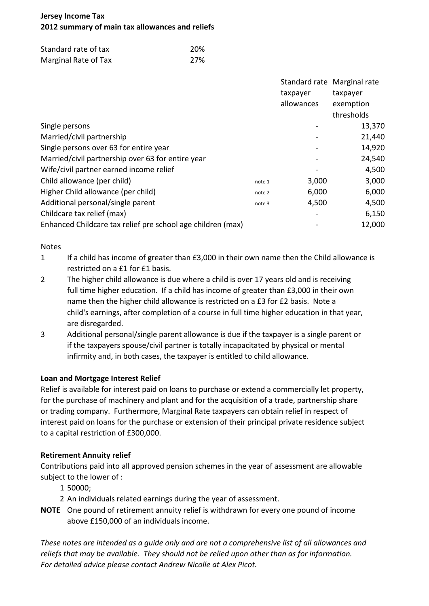# **Jersey Income Tax 2012 summary of main tax allowances and reliefs**

| Standard rate of tax | 20% |
|----------------------|-----|
| Marginal Rate of Tax | 27% |

|                                                             |        |            | Standard rate Marginal rate |
|-------------------------------------------------------------|--------|------------|-----------------------------|
|                                                             |        | taxpayer   | taxpayer                    |
|                                                             |        | allowances | exemption                   |
|                                                             |        |            | thresholds                  |
| Single persons                                              |        |            | 13,370                      |
| Married/civil partnership                                   |        |            | 21,440                      |
| Single persons over 63 for entire year                      |        |            | 14,920                      |
| Married/civil partnership over 63 for entire year           |        |            | 24,540                      |
| Wife/civil partner earned income relief                     |        |            | 4,500                       |
| Child allowance (per child)                                 | note 1 | 3,000      | 3,000                       |
| Higher Child allowance (per child)                          | note 2 | 6,000      | 6,000                       |
| Additional personal/single parent                           | note 3 | 4,500      | 4,500                       |
| Childcare tax relief (max)                                  |        |            | 6,150                       |
| Enhanced Childcare tax relief pre school age children (max) |        |            | 12,000                      |

#### Notes

- 1 If a child has income of greater than £3,000 in their own name then the Child allowance is restricted on a £1 for £1 basis.
- 2 The higher child allowance is due where a child is over 17 years old and is receiving full time higher education. If a child has income of greater than £3,000 in their own name then the higher child allowance is restricted on a £3 for £2 basis. Note a child's earnings, after completion of a course in full time higher education in that year, are disregarded.
- 3 Additional personal/single parent allowance is due if the taxpayer is a single parent or if the taxpayers spouse/civil partner is totally incapacitated by physical or mental infirmity and, in both cases, the taxpayer is entitled to child allowance.

## **Loan and Mortgage Interest Relief**

Relief is available for interest paid on loans to purchase or extend a commercially let property, for the purchase of machinery and plant and for the acquisition of a trade, partnership share or trading company. Furthermore, Marginal Rate taxpayers can obtain relief in respect of interest paid on loans for the purchase or extension of their principal private residence subject to a capital restriction of £300,000.

## **Retirement Annuity relief**

Contributions paid into all approved pension schemes in the year of assessment are allowable subject to the lower of :

- 1 50000;
- 2 An individuals related earnings during the year of assessment.
- **NOTE** One pound of retirement annuity relief is withdrawn for every one pound of income above £150,000 of an individuals income.

*These notes are intended as a guide only and are not a comprehensive list of all allowances and reliefs that may be available. They should not be relied upon other than as for information. For detailed advice please contact Andrew Nicolle at Alex Picot.*